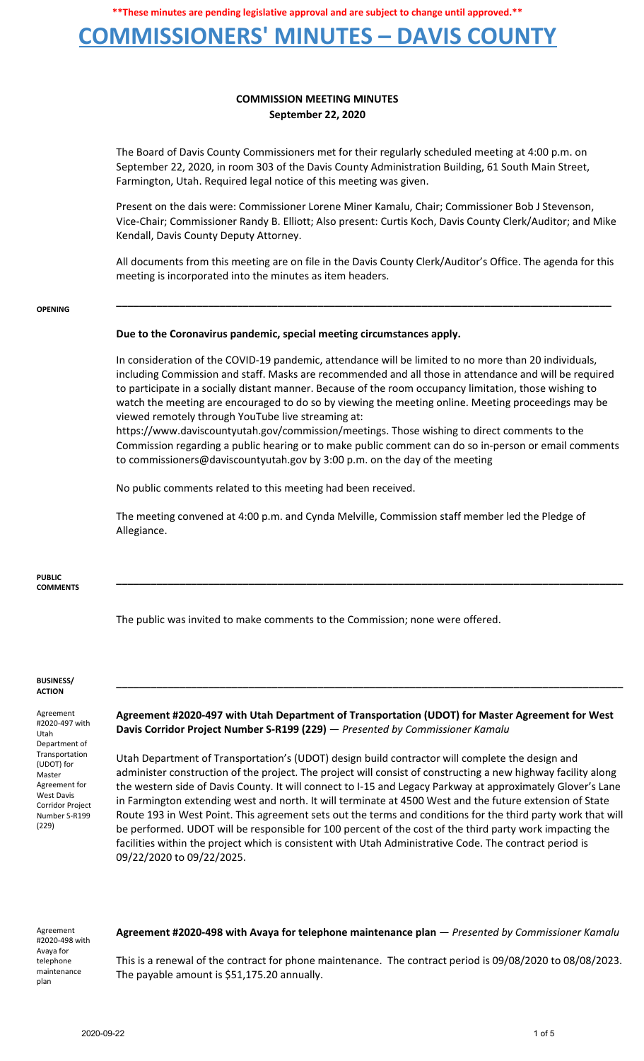# **COMMISSIONERS' MINUTES – DAVIS COUNTY**

## **COMMISSION MEETING MINUTES September 22, 2020**

The Board of Davis County Commissioners met for their regularly scheduled meeting at 4:00 p.m. on September 22, 2020, in room 303 of the Davis County Administration Building, 61 South Main Street, Farmington, Utah. Required legal notice of this meeting was given.

Present on the dais were: Commissioner Lorene Miner Kamalu, Chair; Commissioner Bob J Stevenson, Vice-Chair; Commissioner Randy B. Elliott; Also present: Curtis Koch, Davis County Clerk/Auditor; and Mike Kendall, Davis County Deputy Attorney.

All documents from this meeting are on file in the Davis County Clerk/Auditor's Office. The agenda for this meeting is incorporated into the minutes as item headers.

**\_\_\_\_\_\_\_\_\_\_\_\_\_\_\_\_\_\_\_\_\_\_\_\_\_\_\_\_\_\_\_\_\_\_\_\_\_\_\_\_\_\_\_\_\_\_\_\_\_\_\_\_\_\_\_\_\_\_\_\_\_\_\_\_\_\_\_\_\_\_\_\_\_\_\_\_\_\_\_\_\_\_\_\_\_\_**

#### **OPENING**

### **Due to the Coronavirus pandemic, special meeting circumstances apply.**

In consideration of the COVID-19 pandemic, attendance will be limited to no more than 20 individuals, including Commission and staff. Masks are recommended and all those in attendance and will be required to participate in a socially distant manner. Because of the room occupancy limitation, those wishing to watch the meeting are encouraged to do so by viewing the meeting online. Meeting proceedings may be viewed remotely through YouTube live streaming at:

https://www.daviscountyutah.gov/commission/meetings. Those wishing to direct comments to the Commission regarding a public hearing or to make public comment can do so in-person or email comments to commissioners@daviscountyutah.gov by 3:00 p.m. on the day of the meeting

**\_\_\_\_\_\_\_\_\_\_\_\_\_\_\_\_\_\_\_\_\_\_\_\_\_\_\_\_\_\_\_\_\_\_\_\_\_\_\_\_\_\_\_\_\_\_\_\_\_\_\_\_\_\_\_\_\_\_\_\_\_\_\_\_\_\_\_\_\_\_\_\_\_\_\_\_\_\_\_\_\_\_\_\_\_\_\_\_**

No public comments related to this meeting had been received.

The meeting convened at 4:00 p.m. and Cynda Melville, Commission staff member led the Pledge of Allegiance.

**PUBLIC COMMENTS**

The public was invited to make comments to the Commission; none were offered.

#### **BUSINESS/ ACTION**

Agreement #2020-497 with Utah Department of Transportation (UDOT) for Master Agreement for West Davis Corridor Project Number S-R199 (229)

**Agreement #2020-497 with Utah Department of Transportation (UDOT) for Master Agreement for West Davis Corridor Project Number S-R199 (229)** — *Presented by Commissioner Kamalu*

**\_\_\_\_\_\_\_\_\_\_\_\_\_\_\_\_\_\_\_\_\_\_\_\_\_\_\_\_\_\_\_\_\_\_\_\_\_\_\_\_\_\_\_\_\_\_\_\_\_\_\_\_\_\_\_\_\_\_\_\_\_\_\_\_\_\_\_\_\_\_\_\_\_\_\_\_\_\_\_\_\_\_\_\_\_\_\_\_**

Utah Department of Transportation's (UDOT) design build contractor will complete the design and administer construction of the project. The project will consist of constructing a new highway facility along the western side of Davis County. It will connect to I-15 and Legacy Parkway at approximately Glover's Lane in Farmington extending west and north. It will terminate at 4500 West and the future extension of State Route 193 in West Point. This agreement sets out the terms and conditions for the third party work that will be performed. UDOT will be responsible for 100 percent of the cost of the third party work impacting the facilities within the project which is consistent with Utah Administrative Code. The contract period is 09/22/2020 to 09/22/2025.

Agreement #2020-498 with Avaya for telephone maintenance plan

**Agreement #2020-498 with Avaya for telephone maintenance plan** — *Presented by Commissioner Kamalu*

This is a renewal of the contract for phone maintenance. The contract period is 09/08/2020 to 08/08/2023. The payable amount is \$51,175.20 annually.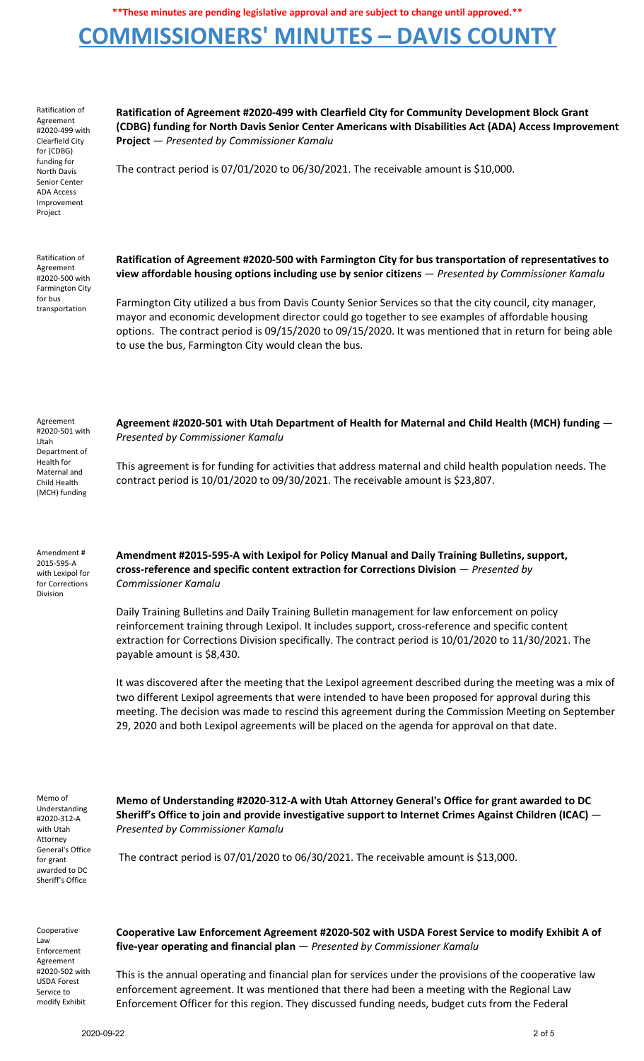# **COMMISSIONERS' MINUTES – DAVIS COUNTY**

Ratification of Agreement #2020-499 with Clearfield City for (CDBG) funding for North Davis Senior Center ADA Access Improvement Project

**Ratification of Agreement #2020-499 with Clearfield City for Community Development Block Grant (CDBG) funding for North Davis Senior Center Americans with Disabilities Act (ADA) Access Improvement Project** — *Presented by Commissioner Kamalu*

The contract period is 07/01/2020 to 06/30/2021. The receivable amount is \$10,000.

Ratification of Agreement #2020-500 with Farmington City for bus transportation

**Ratification of Agreement #2020-500 with Farmington City for bus transportation of representatives to view affordable housing options including use by senior citizens** — *Presented by Commissioner Kamalu*

Farmington City utilized a bus from Davis County Senior Services so that the city council, city manager, mayor and economic development director could go together to see examples of affordable housing options. The contract period is 09/15/2020 to 09/15/2020. It was mentioned that in return for being able to use the bus, Farmington City would clean the bus.

Agreement #2020-501 with Utah Department of Health for Maternal and Child Health (MCH) funding

**Agreement #2020-501 with Utah Department of Health for Maternal and Child Health (MCH) funding** — *Presented by Commissioner Kamalu*

This agreement is for funding for activities that address maternal and child health population needs. The contract period is 10/01/2020 to 09/30/2021. The receivable amount is \$23,807.

Amendment # 2015-595-A with Lexipol for for Corrections Division

**Amendment #2015-595-A with Lexipol for Policy Manual and Daily Training Bulletins, support, cross-reference and specific content extraction for Corrections Division** — *Presented by Commissioner Kamalu*

Daily Training Bulletins and Daily Training Bulletin management for law enforcement on policy reinforcement training through Lexipol. It includes support, cross-reference and specific content extraction for Corrections Division specifically. The contract period is 10/01/2020 to 11/30/2021. The payable amount is \$8,430.

It was discovered after the meeting that the Lexipol agreement described during the meeting was a mix of two different Lexipol agreements that were intended to have been proposed for approval during this meeting. The decision was made to rescind this agreement during the Commission Meeting on September 29, 2020 and both Lexipol agreements will be placed on the agenda for approval on that date.

Memo of Understanding #2020-312-A with Utah Attorney General's Office for grant awarded to DC Sheriff's Office

**Memo of Understanding #2020-312-A with Utah Attorney General's Office for grant awarded to DC Sheriff's Office to join and provide investigative support to Internet Crimes Against Children (ICAC)** — *Presented by Commissioner Kamalu*

The contract period is 07/01/2020 to 06/30/2021. The receivable amount is \$13,000.

Cooperative Law Enforcement Agreement #2020-502 with USDA Forest Service to modify Exhibit

**Cooperative Law Enforcement Agreement #2020-502 with USDA Forest Service to modify Exhibit A of five-year operating and financial plan** — *Presented by Commissioner Kamalu*

This is the annual operating and financial plan for services under the provisions of the cooperative law enforcement agreement. It was mentioned that there had been a meeting with the Regional Law Enforcement Officer for this region. They discussed funding needs, budget cuts from the Federal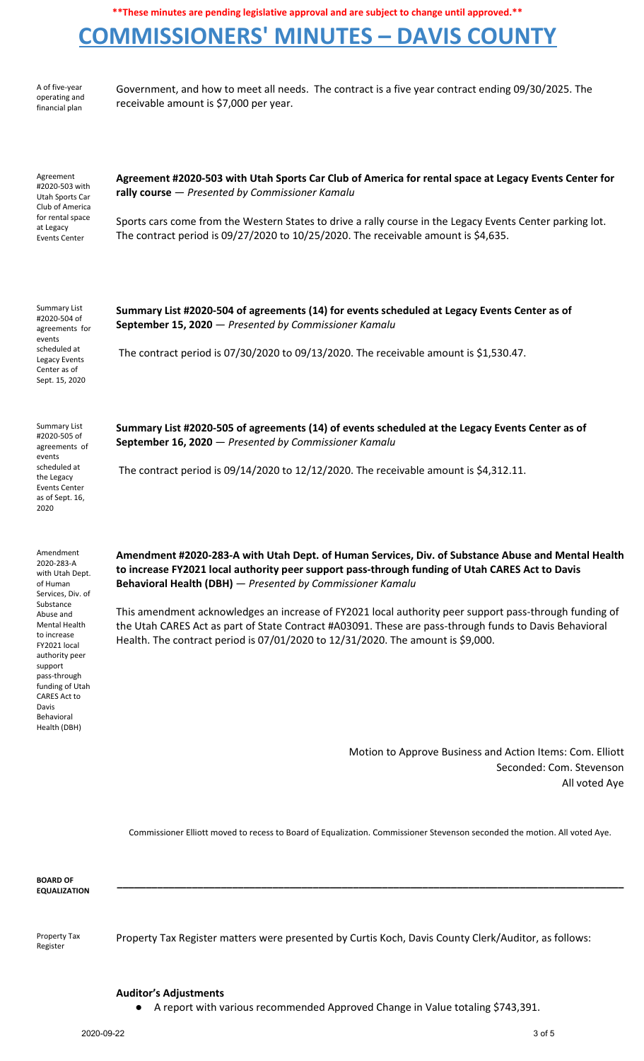# **COMMISSIONERS' MINUTES – DAVIS COUNTY**

A of five-year operating and financial plan

Government, and how to meet all needs. The contract is a five year contract ending 09/30/2025. The receivable amount is \$7,000 per year.

Agreement #2020-503 with Utah Sports Car Club of America for rental space at Legacy Events Center

**Agreement #2020-503 with Utah Sports Car Club of America for rental space at Legacy Events Center for rally course** — *Presented by Commissioner Kamalu*

Sports cars come from the Western States to drive a rally course in the Legacy Events Center parking lot. The contract period is 09/27/2020 to 10/25/2020. The receivable amount is \$4,635.

Summary List #2020-504 of agreements for events scheduled at Legacy Events Center as of Sept. 15, 2020

**Summary List #2020-504 of agreements (14) for events scheduled at Legacy Events Center as of September 15, 2020** — *Presented by Commissioner Kamalu*

The contract period is 07/30/2020 to 09/13/2020. The receivable amount is \$1,530.47.

Summary List #2020-505 of agreements of events scheduled at the Legacy Events Center as of Sept. 16, 2020

Amendment 2020-283-A with Utah Dept. of Human Services, Div. of Substance Abuse and Mental Health to increase FY2021 local authority peer support pass-through funding of Utah CARES Act to Davis Behavioral Health (DBH)

**Summary List #2020-505 of agreements (14) of events scheduled at the Legacy Events Center as of September 16, 2020** — *Presented by Commissioner Kamalu*

The contract period is 09/14/2020 to 12/12/2020. The receivable amount is \$4,312.11.

**Amendment #2020-283-A with Utah Dept. of Human Services, Div. of Substance Abuse and Mental Health to increase FY2021 local authority peer support pass-through funding of Utah CARES Act to Davis Behavioral Health (DBH)** — *Presented by Commissioner Kamalu*

This amendment acknowledges an increase of FY2021 local authority peer support pass-through funding of the Utah CARES Act as part of State Contract #A03091. These are pass-through funds to Davis Behavioral Health. The contract period is 07/01/2020 to 12/31/2020. The amount is \$9,000.

> Motion to Approve Business and Action Items: Com. Elliott Seconded: Com. Stevenson All voted Aye

Commissioner Elliott moved to recess to Board of Equalization. Commissioner Stevenson seconded the motion. All voted Aye.

**\_\_\_\_\_\_\_\_\_\_\_\_\_\_\_\_\_\_\_\_\_\_\_\_\_\_\_\_\_\_\_\_\_\_\_\_\_\_\_\_\_\_\_\_\_\_\_\_\_\_\_\_\_\_\_\_\_\_\_\_\_\_\_\_\_\_\_\_\_\_\_\_\_\_\_\_\_\_\_\_\_\_\_\_\_\_\_\_**

**BOARD OF EQUALIZATION**

Property Tax Register

Property Tax Register matters were presented by Curtis Koch, Davis County Clerk/Auditor, as follows:

## **Auditor's Adjustments**

● A report with various recommended Approved Change in Value totaling \$743,391.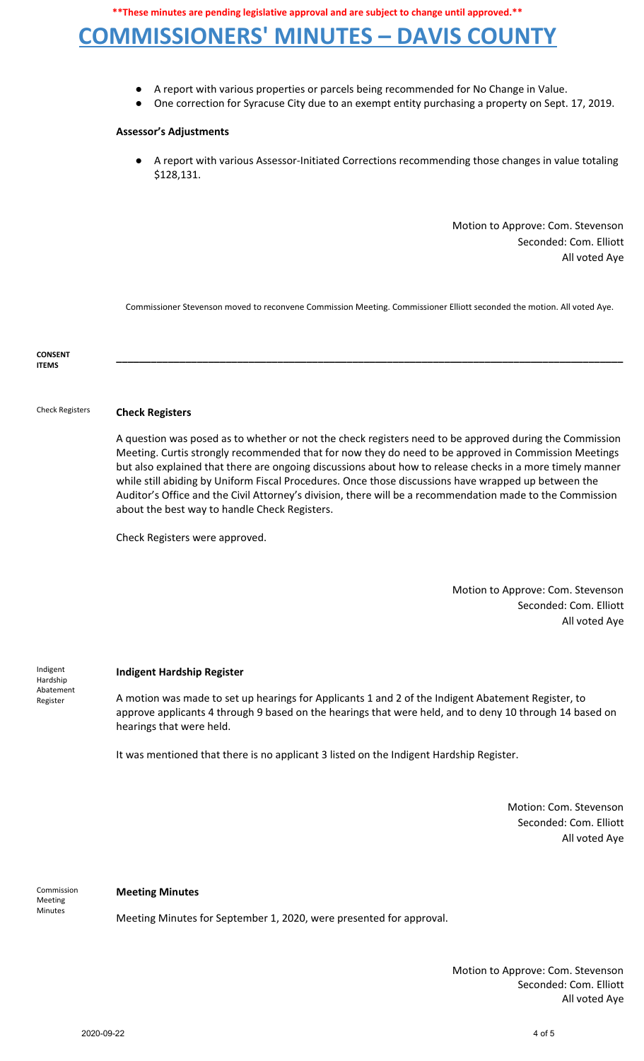# **COMMISSIONERS' MINUTES – DAVIS COUNTY**

- A report with various properties or parcels being recommended for No Change in Value.
- One correction for Syracuse City due to an exempt entity purchasing a property on Sept. 17, 2019.

#### **Assessor's Adjustments**

A report with various Assessor-Initiated Corrections recommending those changes in value totaling \$128,131.

> Motion to Approve: Com. Stevenson Seconded: Com. Elliott All voted Aye

Commissioner Stevenson moved to reconvene Commission Meeting. Commissioner Elliott seconded the motion. All voted Aye.

**\_\_\_\_\_\_\_\_\_\_\_\_\_\_\_\_\_\_\_\_\_\_\_\_\_\_\_\_\_\_\_\_\_\_\_\_\_\_\_\_\_\_\_\_\_\_\_\_\_\_\_\_\_\_\_\_\_\_\_\_\_\_\_\_\_\_\_\_\_\_\_\_\_\_\_\_\_\_\_\_\_\_\_\_\_\_\_\_**

**CONSENT ITEMS**

## Check Registers **Check Registers**

A question was posed as to whether or not the check registers need to be approved during the Commission Meeting. Curtis strongly recommended that for now they do need to be approved in Commission Meetings but also explained that there are ongoing discussions about how to release checks in a more timely manner while still abiding by Uniform Fiscal Procedures. Once those discussions have wrapped up between the Auditor's Office and the Civil Attorney's division, there will be a recommendation made to the Commission about the best way to handle Check Registers.

Check Registers were approved.

Motion to Approve: Com. Stevenson Seconded: Com. Elliott All voted Aye

Indigent Hardship Abatement Register

### **Indigent Hardship Register**

A motion was made to set up hearings for Applicants 1 and 2 of the Indigent Abatement Register, to approve applicants 4 through 9 based on the hearings that were held, and to deny 10 through 14 based on hearings that were held.

It was mentioned that there is no applicant 3 listed on the Indigent Hardship Register.

Motion: Com. Stevenson Seconded: Com. Elliott All voted Aye

Commission Meeting **Minutes** 

#### **Meeting Minutes**

Meeting Minutes for September 1, 2020, were presented for approval.

Motion to Approve: Com. Stevenson Seconded: Com. Elliott All voted Aye